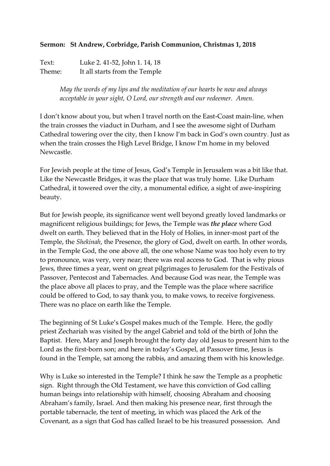## **Sermon: St Andrew, Corbridge, Parish Communion, Christmas 1, 2018**

Text: Luke 2. 41-52, John 1. 14, 18 Theme: It all starts from the Temple

> *May the words of my lips and the meditation of our hearts be now and always acceptable in your sight, O Lord, our strength and our redeemer. Amen.*

I don't know about you, but when I travel north on the East-Coast main-line, when the train crosses the viaduct in Durham, and I see the awesome sight of Durham Cathedral towering over the city, then I know I'm back in God's own country. Just as when the train crosses the High Level Bridge, I know I'm home in my beloved Newcastle.

For Jewish people at the time of Jesus, God's Temple in Jerusalem was a bit like that. Like the Newcastle Bridges, it was the place that was truly home. Like Durham Cathedral, it towered over the city, a monumental edifice, a sight of awe-inspiring beauty.

But for Jewish people, its significance went well beyond greatly loved landmarks or magnificent religious buildings; for Jews, the Temple was *the place* where God dwelt on earth. They believed that in the Holy of Holies, in inner-most part of the Temple, the *Shekinah*, the Presence, the glory of God, dwelt on earth. In other words, in the Temple God, the one above all, the one whose Name was too holy even to try to pronounce, was very, very near; there was real access to God. That is why pious Jews, three times a year, went on great pilgrimages to Jerusalem for the Festivals of Passover, Pentecost and Tabernacles. And because God was near, the Temple was the place above all places to pray, and the Temple was the place where sacrifice could be offered to God, to say thank you, to make vows, to receive forgiveness. There was no place on earth like the Temple.

The beginning of St Luke's Gospel makes much of the Temple. Here, the godly priest Zechariah was visited by the angel Gabriel and told of the birth of John the Baptist. Here, Mary and Joseph brought the forty day old Jesus to present him to the Lord as the first-born son; and here in today's Gospel, at Passover time, Jesus is found in the Temple, sat among the rabbis, and amazing them with his knowledge.

Why is Luke so interested in the Temple? I think he saw the Temple as a prophetic sign. Right through the Old Testament, we have this conviction of God calling human beings into relationship with himself, choosing Abraham and choosing Abraham's family, Israel. And then making his presence near, first through the portable tabernacle, the tent of meeting, in which was placed the Ark of the Covenant, as a sign that God has called Israel to be his treasured possession. And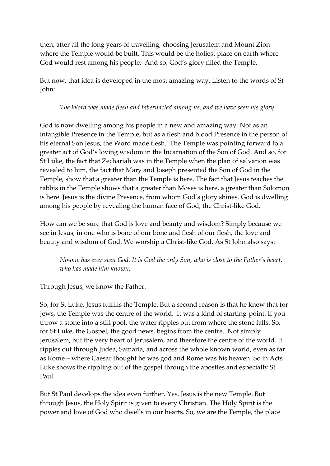then, after all the long years of travelling, choosing Jerusalem and Mount Zion where the Temple would be built. This would be the holiest place on earth where God would rest among his people. And so, God's glory filled the Temple.

But now, that idea is developed in the most amazing way. Listen to the words of St John:

## *The Word was made flesh and tabernacled among us, and we have seen his glory.*

God is now dwelling among his people in a new and amazing way. Not as an intangible Presence in the Temple, but as a flesh and blood Presence in the person of his eternal Son Jesus, the Word made flesh. The Temple was pointing forward to a greater act of God's loving wisdom in the Incarnation of the Son of God. And so, for St Luke, the fact that Zechariah was in the Temple when the plan of salvation was revealed to him, the fact that Mary and Joseph presented the Son of God in the Temple, show that a greater than the Temple is here. The fact that Jesus teaches the rabbis in the Temple shows that a greater than Moses is here, a greater than Solomon is here. Jesus is the divine Presence, from whom God's glory shines. God is dwelling among his people by revealing the human face of God, the Christ-like God.

How can we be sure that God is love and beauty and wisdom? Simply because we see in Jesus, in one who is bone of our bone and flesh of our flesh, the love and beauty and wisdom of God. We worship a Christ-like God. As St John also says:

*No-one has ever seen God. It is God the only Son, who is close to the Father's heart, who has made him known.*

Through Jesus, we know the Father.

So, for St Luke, Jesus fulfills the Temple. But a second reason is that he knew that for Jews, the Temple was the centre of the world. It was a kind of starting-point. If you throw a stone into a still pool, the water ripples out from where the stone falls. So, for St Luke, the Gospel, the good news, begins from the centre. Not simply Jerusalem, but the very heart of Jerusalem, and therefore the centre of the world. It ripples out through Judea, Samaria, and across the whole known world, even as far as Rome – where Caesar thought he was god and Rome was his heaven. So in Acts Luke shows the rippling out of the gospel through the apostles and especially St Paul.

But St Paul develops the idea even further. Yes, Jesus is the new Temple. But through Jesus, the Holy Spirit is given to every Christian. The Holy Spirit is the power and love of God who dwells in our hearts. So, we are the Temple, the place